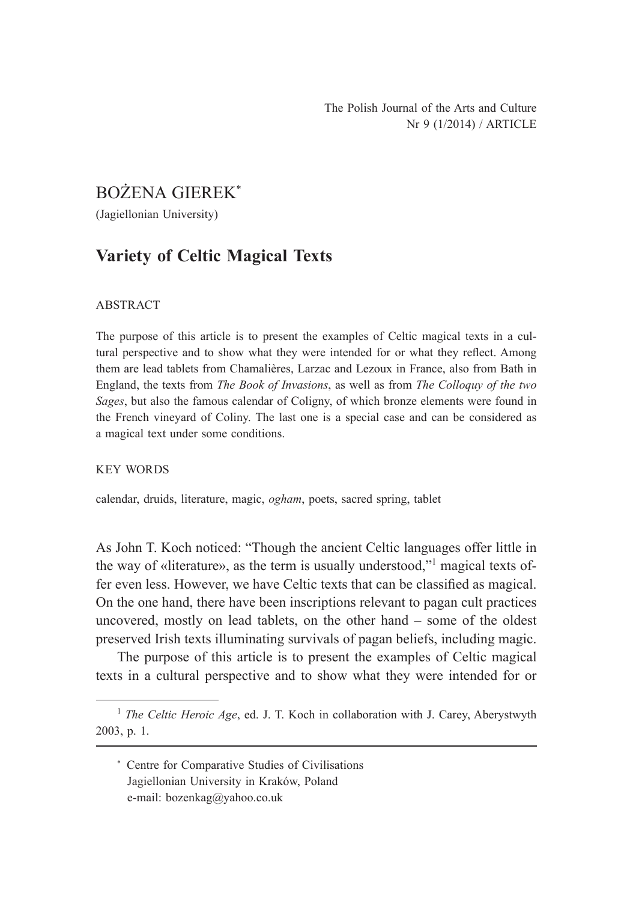# BOŻENA GIEREK\*

(Jagiellonian University)

# **Variety of Celtic Magical Texts**

#### ABSTRACT

The purpose of this article is to present the examples of Celtic magical texts in a cultural perspective and to show what they were intended for or what they reflect. Among them are lead tablets from Chamalières, Larzac and Lezoux in France, also from Bath in England, the texts from *The Book of Invasions*, as well as from *The Colloquy of the two Sages*, but also the famous calendar of Coligny, of which bronze elements were found in the French vineyard of Coliny. The last one is a special case and can be considered as a magical text under some conditions.

#### KEY WORDS

calendar, druids, literature, magic, *ogham*, poets, sacred spring, tablet

As John T. Koch noticed: "Though the ancient Celtic languages offer little in the way of «literature», as the term is usually understood,"<sup>1</sup> magical texts offer even less. However, we have Celtic texts that can be classified as magical. On the one hand, there have been inscriptions relevant to pagan cult practices uncovered, mostly on lead tablets, on the other hand – some of the oldest preserved Irish texts illuminating survivals of pagan beliefs, including magic.

The purpose of this article is to present the examples of Celtic magical texts in a cultural perspective and to show what they were intended for or

\* Centre for Comparative Studies of Civilisations Jagiellonian University in Kraków, Poland e-mail: bozenkag@yahoo.co.uk

<sup>&</sup>lt;sup>1</sup> *The Celtic Heroic Age*, ed. J. T. Koch in collaboration with J. Carey, Aberystwyth 2003, p. 1.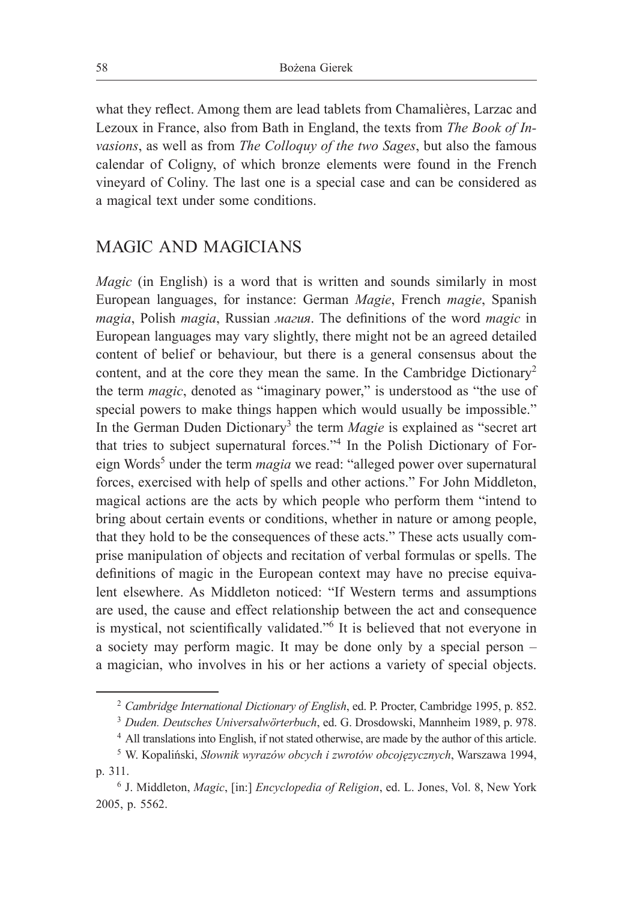what they reflect. Among them are lead tablets from Chamalières, Larzac and Lezoux in France, also from Bath in England, the texts from *The Book of Invasions*, as well as from *The Colloquy of the two Sages*, but also the famous calendar of Coligny, of which bronze elements were found in the French vineyard of Coliny. The last one is a special case and can be considered as a magical text under some conditions.

### MAGIC AND MAGICIANS

*Magic* (in English) is a word that is written and sounds similarly in most European languages, for instance: German *Magie*, French *magie*, Spanish *magia*, Polish *magia*, Russian *магия*. The definitions of the word *magic* in European languages may vary slightly, there might not be an agreed detailed content of belief or behaviour, but there is a general consensus about the content, and at the core they mean the same. In the Cambridge Dictionary<sup>2</sup> the term *magic*, denoted as "imaginary power," is understood as "the use of special powers to make things happen which would usually be impossible." In the German Duden Dictionary<sup>3</sup> the term *Magie* is explained as "secret art that tries to subject supernatural forces."<sup>4</sup> In the Polish Dictionary of Foreign Words<sup>5</sup> under the term *magia* we read: "alleged power over supernatural forces, exercised with help of spells and other actions." For John Middleton, magical actions are the acts by which people who perform them "intend to bring about certain events or conditions, whether in nature or among people, that they hold to be the consequences of these acts." These acts usually comprise manipulation of objects and recitation of verbal formulas or spells. The definitions of magic in the European context may have no precise equivalent elsewhere. As Middleton noticed: "If Western terms and assumptions are used, the cause and effect relationship between the act and consequence is mystical, not scientifically validated."<sup>6</sup> It is believed that not everyone in a society may perform magic. It may be done only by a special person  $$ a magician, who involves in his or her actions a variety of special objects.

<sup>2</sup> *Cambridge International Dictionary of English*, ed. P. Procter, Cambridge 1995, p. 852.

<sup>3</sup> *Duden. Deutsches Universalwörterbuch*, ed. G. Drosdowski, Mannheim 1989, p. 978.

<sup>4</sup> All translations into English, if not stated otherwise, are made by the author of this article.

<sup>5</sup> W. Kopaliński, *Słownik wyrazów obcych i zwrotów obcojęzycznych*, Warszawa 1994, p. 311.

<sup>6</sup> J. Middleton, *Magic*, [in:] *Encyclopedia of Religion*, ed. L. Jones, Vol. 8, New York 2005, p. 5562.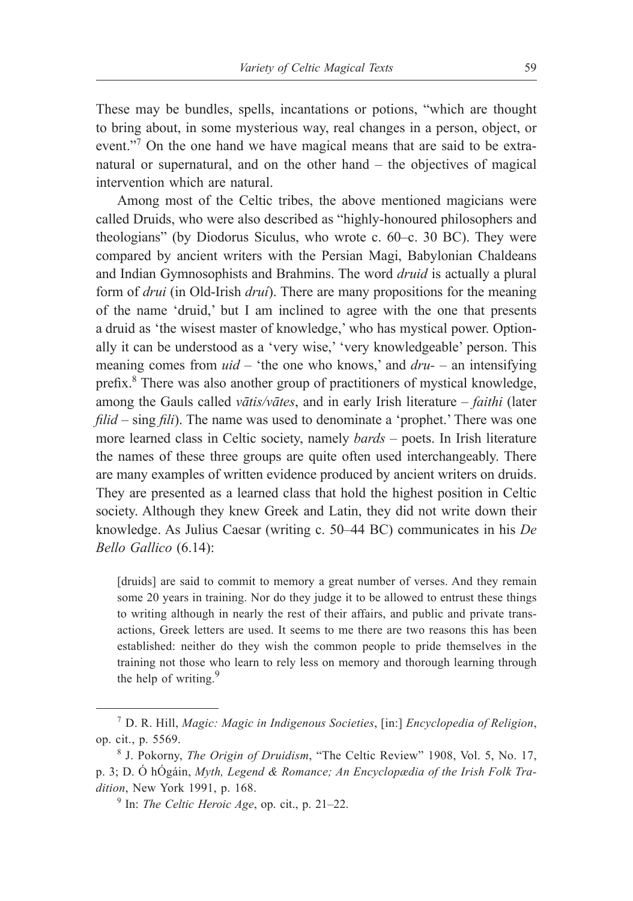These may be bundles, spells, incantations or potions, "which are thought to bring about, in some mysterious way, real changes in a person, object, or event."<sup>7</sup> On the one hand we have magical means that are said to be extranatural or supernatural, and on the other hand  $-$  the objectives of magical intervention which are natural.

Among most of the Celtic tribes, the above mentioned magicians were called Druids, who were also described as "highly-honoured philosophers and theologians" (by Diodorus Siculus, who wrote c. 60‒c. 30 BC). They were compared by ancient writers with the Persian Magi, Babylonian Chaldeans and Indian Gymnosophists and Brahmins. The word *druid* is actually a plural form of *drui* (in Old-Irish *druí*). There are many propositions for the meaning of the name 'druid,' but I am inclined to agree with the one that presents a druid as 'the wisest master of knowledge,' who has mystical power. Optionally it can be understood as a 'very wise,' 'very knowledgeable' person. This meaning comes from *uid* – 'the one who knows,' and *dru*- – an intensifying prefix.<sup>8</sup> There was also another group of practitioners of mystical knowledge, among the Gauls called *vātis/vātes*, and in early Irish literature – *faithi* (later *filid* – sing *fili*). The name was used to denominate a 'prophet.' There was one more learned class in Celtic society, namely *bards* – poets. In Irish literature the names of these three groups are quite often used interchangeably. There are many examples of written evidence produced by ancient writers on druids. They are presented as a learned class that hold the highest position in Celtic society. Although they knew Greek and Latin, they did not write down their knowledge. As Julius Caesar (writing c. 50‒44 BC) communicates in his *De Bello Gallico* (6.14):

[druids] are said to commit to memory a great number of verses. And they remain some 20 years in training. Nor do they judge it to be allowed to entrust these things to writing although in nearly the rest of their affairs, and public and private transactions, Greek letters are used. It seems to me there are two reasons this has been established: neither do they wish the common people to pride themselves in the training not those who learn to rely less on memory and thorough learning through the help of writing. $9$ 

<sup>7</sup> D. R. Hill, *Magic: Magic in Indigenous Societies*, [in:] *Encyclopedia of Religion*, op. cit., p. 5569.

<sup>8</sup> J. Pokorny, *The Origin of Druidism*, "The Celtic Review" 1908, Vol. 5, No. 17, p. 3; D. Ó hÓgáin, *Myth, Legend & Romance; An Encyclopædia of the Irish Folk Tradition*, New York 1991, p. 168.

 $9$  In: *The Celtic Heroic Age*, op. cit., p. 21–22.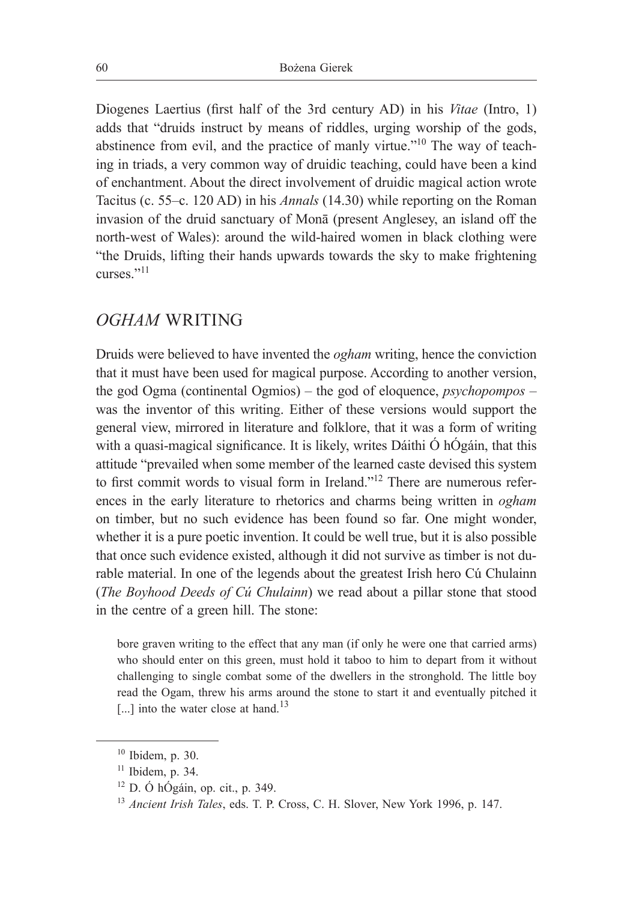Diogenes Laertius (first half of the 3rd century AD) in his *Vitae* (Intro, 1) adds that "druids instruct by means of riddles, urging worship of the gods, abstinence from evil, and the practice of manly virtue."10 The way of teaching in triads, a very common way of druidic teaching, could have been a kind of enchantment. About the direct involvement of druidic magical action wrote Tacitus (c. 55–c. 120 AD) in his *Annals* (14.30) while reporting on the Roman invasion of the druid sanctuary of Monā (present Anglesey, an island off the north-west of Wales): around the wild-haired women in black clothing were "the Druids, lifting their hands upwards towards the sky to make frightening curses<sup>"11</sup>

## *OGHAM* WRITING

Druids were believed to have invented the *ogham* writing, hence the conviction that it must have been used for magical purpose. According to another version, the god Ogma (continental Ogmios) – the god of eloquence, *psychopompos* ‒ was the inventor of this writing. Either of these versions would support the general view, mirrored in literature and folklore, that it was a form of writing with a quasi-magical significance. It is likely, writes Dáithi Ó hÓgáin, that this attitude "prevailed when some member of the learned caste devised this system to first commit words to visual form in Ireland."<sup>12</sup> There are numerous references in the early literature to rhetorics and charms being written in *ogham* on timber, but no such evidence has been found so far. One might wonder, whether it is a pure poetic invention. It could be well true, but it is also possible that once such evidence existed, although it did not survive as timber is not durable material. In one of the legends about the greatest Irish hero Cú Chulainn (*The Boyhood Deeds of Cú Chulainn*) we read about a pillar stone that stood in the centre of a green hill. The stone:

bore graven writing to the effect that any man (if only he were one that carried arms) who should enter on this green, must hold it taboo to him to depart from it without challenging to single combat some of the dwellers in the stronghold. The little boy read the Ogam, threw his arms around the stone to start it and eventually pitched it [...] into the water close at hand.<sup>13</sup>

 $10$  Ibidem, p. 30.

 $11$  Ibidem, p. 34.

 $12$  D. Ó hÓgáin, op. cit., p. 349.

<sup>13</sup> *Ancient Irish Tales*, eds. T. P. Cross, C. H. Slover, New York 1996, p. 147.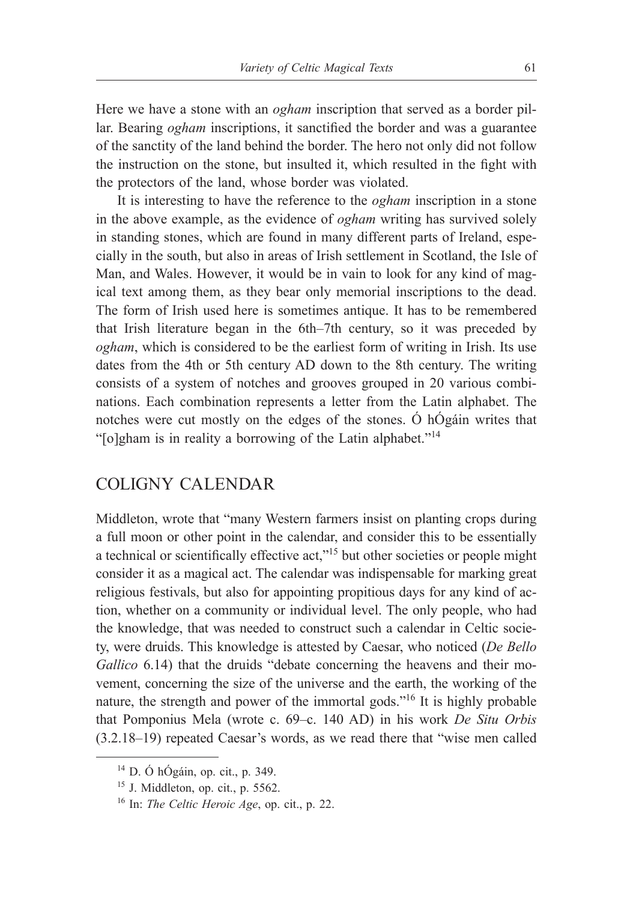Here we have a stone with an *ogham* inscription that served as a border pillar. Bearing *ogham* inscriptions, it sanctified the border and was a guarantee of the sanctity of the land behind the border. The hero not only did not follow the instruction on the stone, but insulted it, which resulted in the fight with the protectors of the land, whose border was violated.

It is interesting to have the reference to the *ogham* inscription in a stone in the above example, as the evidence of *ogham* writing has survived solely in standing stones, which are found in many different parts of Ireland, especially in the south, but also in areas of Irish settlement in Scotland, the Isle of Man, and Wales. However, it would be in vain to look for any kind of magical text among them, as they bear only memorial inscriptions to the dead. The form of Irish used here is sometimes antique. It has to be remembered that Irish literature began in the 6th–7th century, so it was preceded by *ogham*, which is considered to be the earliest form of writing in Irish. Its use dates from the 4th or 5th century AD down to the 8th century. The writing consists of a system of notches and grooves grouped in 20 various combinations. Each combination represents a letter from the Latin alphabet. The notches were cut mostly on the edges of the stones. Ó hÓgáin writes that "[o]gham is in reality a borrowing of the Latin alphabet."<sup>14</sup>

### COLIGNY CALENDAR

Middleton, wrote that "many Western farmers insist on planting crops during a full moon or other point in the calendar, and consider this to be essentially a technical or scientifically effective act,"<sup>15</sup> but other societies or people might consider it as a magical act. The calendar was indispensable for marking great religious festivals, but also for appointing propitious days for any kind of action, whether on a community or individual level. The only people, who had the knowledge, that was needed to construct such a calendar in Celtic society, were druids. This knowledge is attested by Caesar, who noticed (*De Bello Gallico* 6.14) that the druids "debate concerning the heavens and their movement, concerning the size of the universe and the earth, the working of the nature, the strength and power of the immortal gods."16 It is highly probable that Pomponius Mela (wrote c. 69‒c. 140 AD) in his work *De Situ Orbis*  $(3.2.18-19)$  repeated Caesar's words, as we read there that "wise men called

<sup>14</sup> D. Ó hÓgáin, op. cit., p. 349.

 $15$  J. Middleton, op. cit., p. 5562.

<sup>16</sup> In: *The Celtic Heroic Age*, op. cit., p. 22.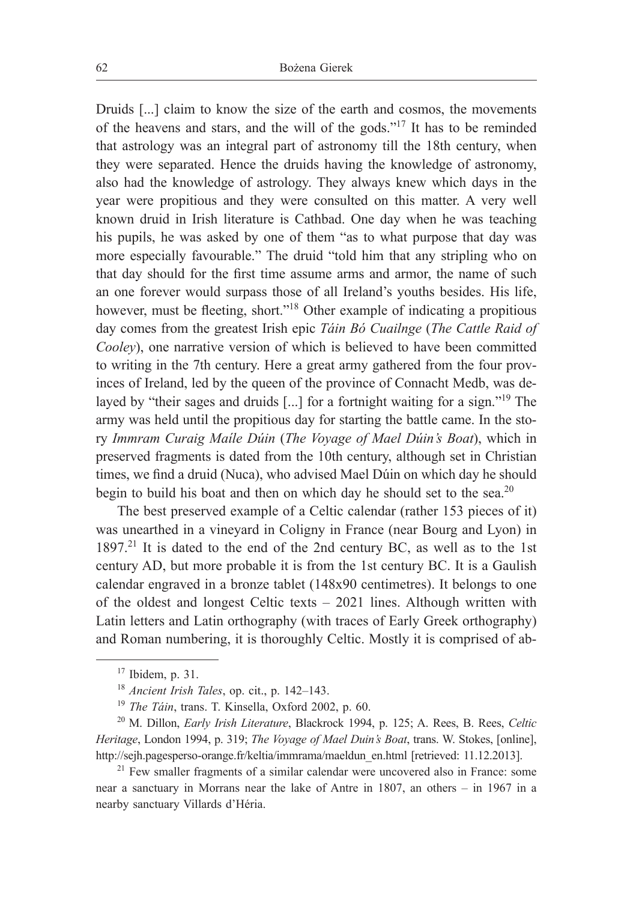Druids [...] claim to know the size of the earth and cosmos, the movements of the heavens and stars, and the will of the gods."17 It has to be reminded that astrology was an integral part of astronomy till the 18th century, when they were separated. Hence the druids having the knowledge of astronomy, also had the knowledge of astrology. They always knew which days in the year were propitious and they were consulted on this matter. A very well known druid in Irish literature is Cathbad. One day when he was teaching his pupils, he was asked by one of them "as to what purpose that day was more especially favourable." The druid "told him that any stripling who on that day should for the first time assume arms and armor, the name of such an one forever would surpass those of all Ireland's youths besides. His life, however, must be fleeting, short."18 Other example of indicating a propitious day comes from the greatest Irish epic *Táin Bó Cuailnge* (*The Cattle Raid of Cooley*), one narrative version of which is believed to have been committed to writing in the 7th century. Here a great army gathered from the four provinces of Ireland, led by the queen of the province of Connacht Medb, was delayed by "their sages and druids [...] for a fortnight waiting for a sign."19 The army was held until the propitious day for starting the battle came. In the story *Immram Curaig Maíle Dúin* (*The Voyage of Mael Dúin's Boat*), which in preserved fragments is dated from the 10th century, although set in Christian times, we find a druid (Nuca), who advised Mael Dúin on which day he should begin to build his boat and then on which day he should set to the sea.<sup>20</sup>

The best preserved example of a Celtic calendar (rather 153 pieces of it) was unearthed in a vineyard in Coligny in France (near Bourg and Lyon) in 1897.21 It is dated to the end of the 2nd century BC, as well as to the 1st century AD, but more probable it is from the 1st century BC. It is a Gaulish calendar engraved in a bronze tablet (148x90 centimetres). It belongs to one of the oldest and longest Celtic texts – 2021 lines. Although written with Latin letters and Latin orthography (with traces of Early Greek orthography) and Roman numbering, it is thoroughly Celtic. Mostly it is comprised of ab-

 $17$  Ibidem, p. 31.

<sup>&</sup>lt;sup>18</sup> *Ancient Irish Tales*, op. cit., p. 142–143.

<sup>19</sup> *The Táin*, trans. T. Kinsella, Oxford 2002, p. 60.

<sup>20</sup> M. Dillon, *Early Irish Literature*, Blackrock 1994, p. 125; A. Rees, B. Rees, *Celtic Heritage*, London 1994, p. 319; *The Voyage of Mael Duin's Boat*, trans. W. Stokes, [online], http://sejh.pagesperso-orange.fr/keltia/immrama/maeldun\_en.html [retrieved: 11.12.2013].

 $21$  Few smaller fragments of a similar calendar were uncovered also in France: some near a sanctuary in Morrans near the lake of Antre in 1807, an others – in 1967 in a nearby sanctuary Villards d'Héria.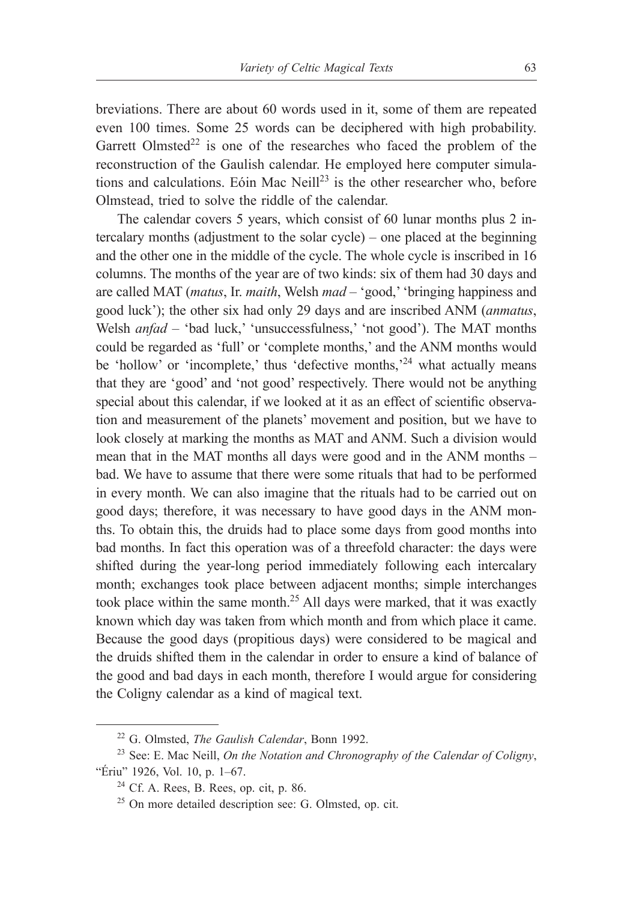breviations. There are about 60 words used in it, some of them are repeated even 100 times. Some 25 words can be deciphered with high probability. Garrett Olmsted<sup>22</sup> is one of the researches who faced the problem of the reconstruction of the Gaulish calendar. He employed here computer simulations and calculations. Eóin Mac Neill<sup>23</sup> is the other researcher who, before Olmstead, tried to solve the riddle of the calendar.

The calendar covers 5 years, which consist of 60 lunar months plus 2 intercalary months (adjustment to the solar cycle) ‒ one placed at the beginning and the other one in the middle of the cycle. The whole cycle is inscribed in 16 columns. The months of the year are of two kinds: six of them had 30 days and are called MAT (*matus*, Ir. *maith*, Welsh *mad* – 'good,' 'bringing happiness and good luck'); the other six had only 29 days and are inscribed ANM (*anmatus*, Welsh *anfad* – 'bad luck,' 'unsuccessfulness,' 'not good'). The MAT months could be regarded as 'full' or 'complete months,' and the ANM months would be 'hollow' or 'incomplete,' thus 'defective months,'<sup>24</sup> what actually means that they are 'good' and 'not good' respectively. There would not be anything special about this calendar, if we looked at it as an effect of scientific observation and measurement of the planets' movement and position, but we have to look closely at marking the months as MAT and ANM. Such a division would mean that in the MAT months all days were good and in the ANM months – bad. We have to assume that there were some rituals that had to be performed in every month. We can also imagine that the rituals had to be carried out on good days; therefore, it was necessary to have good days in the ANM months. To obtain this, the druids had to place some days from good months into bad months. In fact this operation was of a threefold character: the days were shifted during the year-long period immediately following each intercalary month; exchanges took place between adjacent months; simple interchanges took place within the same month.<sup>25</sup> All days were marked, that it was exactly known which day was taken from which month and from which place it came. Because the good days (propitious days) were considered to be magical and the druids shifted them in the calendar in order to ensure a kind of balance of the good and bad days in each month, therefore I would argue for considering the Coligny calendar as a kind of magical text.

<sup>22</sup> G. Olmsted, *The Gaulish Calendar*, Bonn 1992.

<sup>23</sup> See: E. Mac Neill, *On the Notation and Chronography of the Calendar of Coligny*, "Ériu" 1926, Vol. 10, p. 1–67.

 $24$  Cf. A. Rees, B. Rees, op. cit, p. 86.

<sup>25</sup> On more detailed description see: G. Olmsted, op. cit.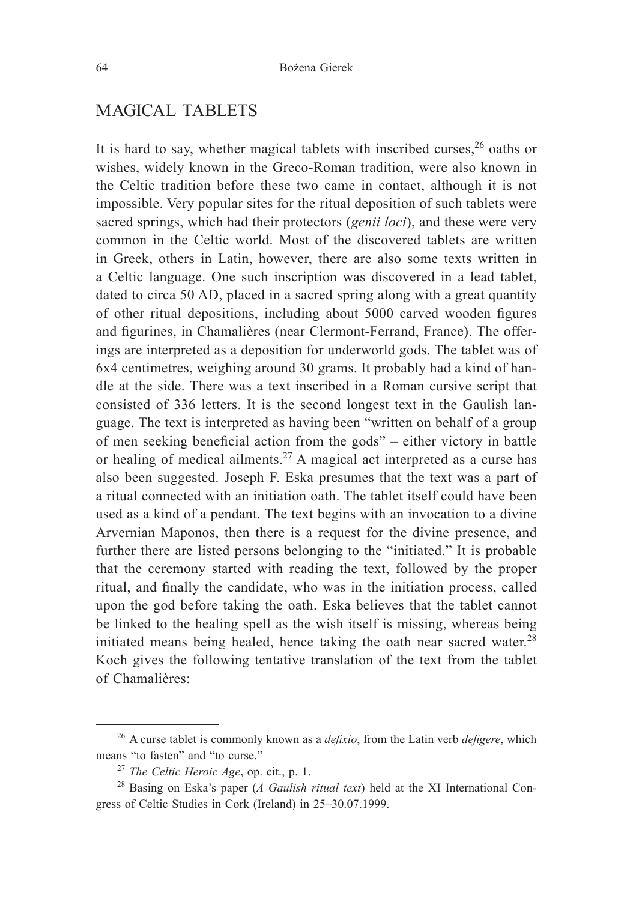## MAGICAL TABLETS

It is hard to say, whether magical tablets with inscribed curses,  $26$  oaths or wishes, widely known in the Greco-Roman tradition, were also known in the Celtic tradition before these two came in contact, although it is not impossible. Very popular sites for the ritual deposition of such tablets were sacred springs, which had their protectors (*genii loci*), and these were very common in the Celtic world. Most of the discovered tablets are written in Greek, others in Latin, however, there are also some texts written in a Celtic language. One such inscription was discovered in a lead tablet, dated to circa 50 AD, placed in a sacred spring along with a great quantity of other ritual depositions, including about 5000 carved wooden figures and figurines, in Chamalières (near Clermont-Ferrand, France). The offerings are interpreted as a deposition for underworld gods. The tablet was of 6x4 centimetres, weighing around 30 grams. It probably had a kind of handle at the side. There was a text inscribed in a Roman cursive script that consisted of 336 letters. It is the second longest text in the Gaulish language. The text is interpreted as having been "written on behalf of a group of men seeking beneficial action from the gods" – either victory in battle or healing of medical ailments.<sup>27</sup> A magical act interpreted as a curse has also been suggested. Joseph F. Eska presumes that the text was a part of a ritual connected with an initiation oath. The tablet itself could have been used as a kind of a pendant. The text begins with an invocation to a divine Arvernian Maponos, then there is a request for the divine presence, and further there are listed persons belonging to the "initiated." It is probable that the ceremony started with reading the text, followed by the proper ritual, and finally the candidate, who was in the initiation process, called upon the god before taking the oath. Eska believes that the tablet cannot be linked to the healing spell as the wish itself is missing, whereas being initiated means being healed, hence taking the oath near sacred water. $28$ Koch gives the following tentative translation of the text from the tablet of Chamalières:

<sup>26</sup> A curse tablet is commonly known as a *defixio*, from the Latin verb *defigere*, which means "to fasten" and "to curse."

<sup>27</sup> *The Celtic Heroic Age*, op. cit., p. 1.

<sup>28</sup> Basing on Eska's paper (*A Gaulish ritual text*) held at the XI International Congress of Celtic Studies in Cork (Ireland) in 25‒30.07.1999.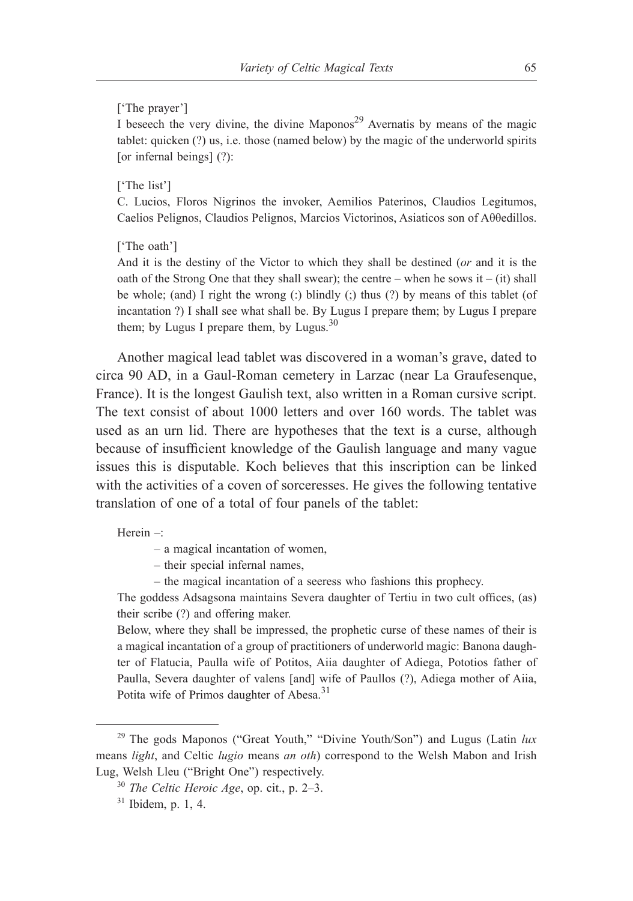#### ['The prayer']

I beseech the very divine, the divine Maponos<sup>29</sup> Avernatis by means of the magic tablet: quicken (?) us, i.e. those (named below) by the magic of the underworld spirits [or infernal beings] (?):

#### ['The list']

C. Lucios, Floros Nigrinos the invoker, Aemilios Paterinos, Claudios Legitumos, Caelios Pelignos, Claudios Pelignos, Marcios Victorinos, Asiaticos son of Aθθedillos.

['The oath']

And it is the destiny of the Victor to which they shall be destined (*or* and it is the oath of the Strong One that they shall swear); the centre – when he sows it – (it) shall be whole; (and) I right the wrong (:) blindly (;) thus (?) by means of this tablet (of incantation ?) I shall see what shall be. By Lugus I prepare them; by Lugus I prepare them; by Lugus I prepare them, by Lugus. $30$ 

Another magical lead tablet was discovered in a woman's grave, dated to circa 90 AD, in a Gaul-Roman cemetery in Larzac (near La Graufesenque, France). It is the longest Gaulish text, also written in a Roman cursive script. The text consist of about 1000 letters and over 160 words. The tablet was used as an urn lid. There are hypotheses that the text is a curse, although because of insufficient knowledge of the Gaulish language and many vague issues this is disputable. Koch believes that this inscription can be linked with the activities of a coven of sorceresses. He gives the following tentative translation of one of a total of four panels of the tablet:

Herein $-$ 

‒ a magical incantation of women,

‒ their special infernal names,

‒ the magical incantation of a seeress who fashions this prophecy.

The goddess Adsagsona maintains Severa daughter of Tertiu in two cult offices, (as) their scribe (?) and offering maker.

Below, where they shall be impressed, the prophetic curse of these names of their is a magical incantation of a group of practitioners of underworld magic: Banona daughter of Flatucia, Paulla wife of Potitos, Aiia daughter of Adiega, Pototios father of Paulla, Severa daughter of valens [and] wife of Paullos (?), Adiega mother of Aiia, Potita wife of Primos daughter of Abesa.<sup>31</sup>

<sup>&</sup>lt;sup>29</sup> The gods Maponos ("Great Youth," "Divine Youth/Son") and Lugus (Latin lux means *light*, and Celtic *lugio* means *an oth*) correspond to the Welsh Mabon and Irish Lug, Welsh Lleu ("Bright One") respectively.

<sup>30</sup> *The Celtic Heroic Age*, op. cit., p. 2‒3.

 $31$  Ibidem, p. 1, 4.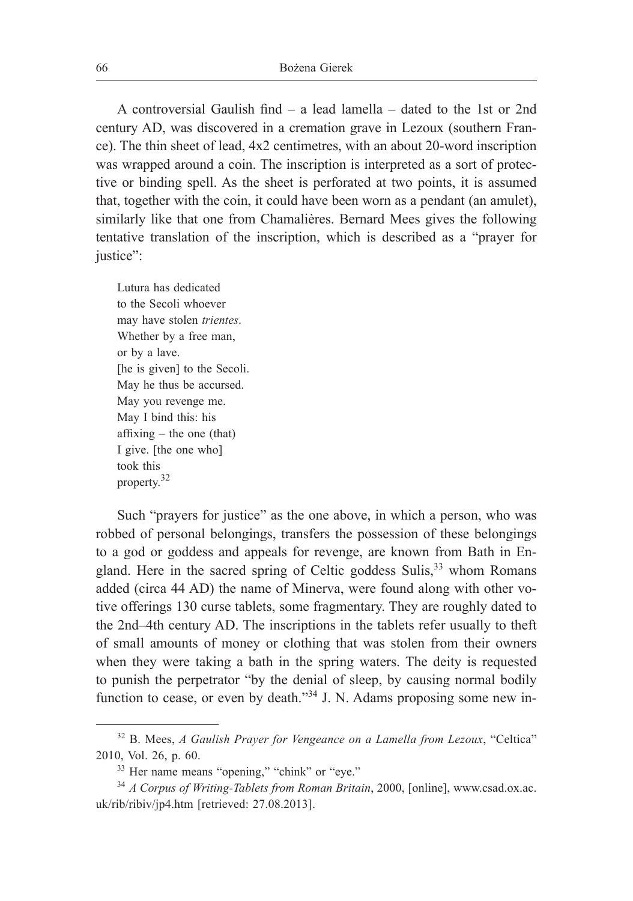A controversial Gaulish find – a lead lamella – dated to the 1st or 2nd century AD, was discovered in a cremation grave in Lezoux (southern France). The thin sheet of lead, 4x2 centimetres, with an about 20-word inscription was wrapped around a coin. The inscription is interpreted as a sort of protective or binding spell. As the sheet is perforated at two points, it is assumed that, together with the coin, it could have been worn as a pendant (an amulet), similarly like that one from Chamalières. Bernard Mees gives the following tentative translation of the inscription, which is described as a "prayer for justice":

Lutura has dedicated to the Secoli whoever may have stolen *trientes*. Whether by a free man, or by a lave. [he is given] to the Secoli. May he thus be accursed. May you revenge me. May I bind this: his  $affixing - the one (that)$ I give. [the one who] took this property.<sup>32</sup>

Such "prayers for justice" as the one above, in which a person, who was robbed of personal belongings, transfers the possession of these belongings to a god or goddess and appeals for revenge, are known from Bath in England. Here in the sacred spring of Celtic goddess Sulis,  $33$  whom Romans added (circa 44 AD) the name of Minerva, were found along with other votive offerings 130 curse tablets, some fragmentary. They are roughly dated to the 2nd–4th century AD. The inscriptions in the tablets refer usually to theft of small amounts of money or clothing that was stolen from their owners when they were taking a bath in the spring waters. The deity is requested to punish the perpetrator "by the denial of sleep, by causing normal bodily function to cease, or even by death.<sup>34</sup> J. N. Adams proposing some new in-

<sup>32</sup> B. Mees, *A Gaulish Prayer for Vengeance on a Lamella from Lezoux*, "Celtica" 2010, Vol. 26, p. 60.

<sup>33</sup> Her name means "opening," "chink" or "eye."

<sup>34</sup> *A Corpus of Writing-Tablets from Roman Britain*, 2000, [online], www.csad.ox.ac. uk/rib/ribiv/jp4.htm [retrieved: 27.08.2013].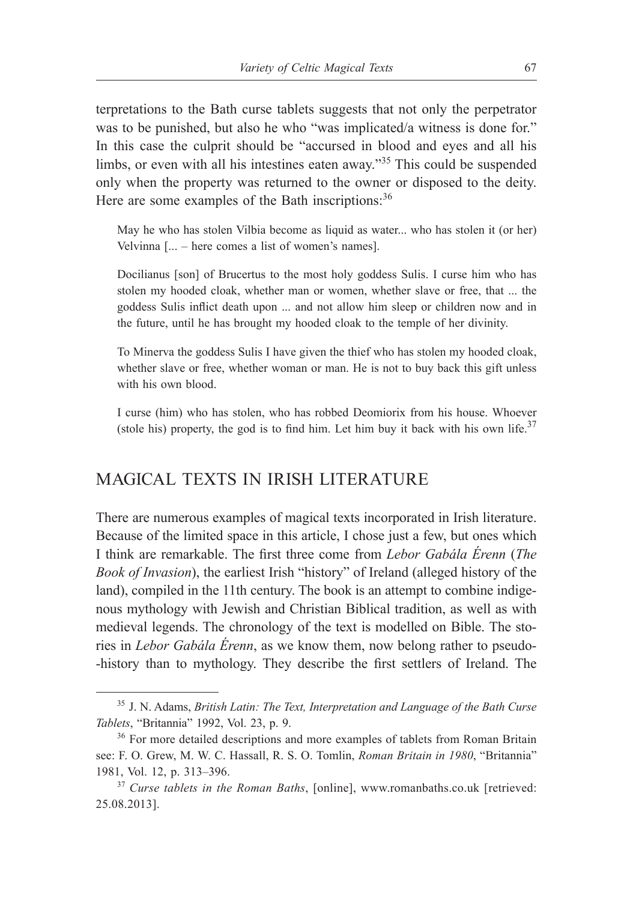terpretations to the Bath curse tablets suggests that not only the perpetrator was to be punished, but also he who "was implicated/a witness is done for." In this case the culprit should be "accursed in blood and eyes and all his limbs, or even with all his intestines eaten away."<sup>35</sup> This could be suspended only when the property was returned to the owner or disposed to the deity. Here are some examples of the Bath inscriptions:<sup>36</sup>

May he who has stolen Vilbia become as liquid as water... who has stolen it (or her) Velvinna [... – here comes a list of women's names].

Docilianus [son] of Brucertus to the most holy goddess Sulis. I curse him who has stolen my hooded cloak, whether man or women, whether slave or free, that ... the goddess Sulis inflict death upon ... and not allow him sleep or children now and in the future, until he has brought my hooded cloak to the temple of her divinity.

To Minerva the goddess Sulis I have given the thief who has stolen my hooded cloak, whether slave or free, whether woman or man. He is not to buy back this gift unless with his own blood.

I curse (him) who has stolen, who has robbed Deomiorix from his house. Whoever (stole his) property, the god is to find him. Let him buy it back with his own life. $37$ 

## MAGICAL TEXTS IN IRISH LITERATURE

There are numerous examples of magical texts incorporated in Irish literature. Because of the limited space in this article, I chose just a few, but ones which I think are remarkable. The first three come from *Lebor Gabála Érenn* (*The Book of Invasion*), the earliest Irish "history" of Ireland (alleged history of the land), compiled in the 11th century. The book is an attempt to combine indigenous mythology with Jewish and Christian Biblical tradition, as well as with medieval legends. The chronology of the text is modelled on Bible. The stories in *Lebor Gabála Érenn*, as we know them, now belong rather to pseudo- -history than to mythology. They describe the first settlers of Ireland. The

<sup>35</sup> J. N. Adams, *British Latin: The Text, Interpretation and Language of the Bath Curse Tablets*, "Britannia" 1992, Vol. 23, p. 9.

<sup>&</sup>lt;sup>36</sup> For more detailed descriptions and more examples of tablets from Roman Britain see: F. O. Grew, M. W. C. Hassall, R. S. O. Tomlin, *Roman Britain in 1980*, "Britannia" 1981, Vol. 12, p. 313‒396.

<sup>&</sup>lt;sup>37</sup> *Curse tablets in the Roman Baths*, [online], www.romanbaths.co.uk [retrieved: 25.08.2013].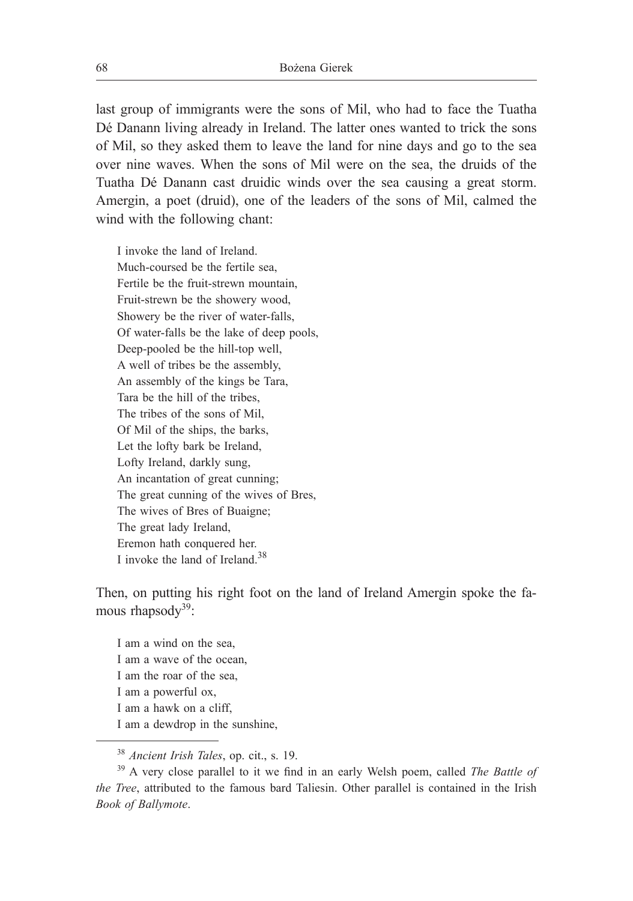last group of immigrants were the sons of Mil, who had to face the Tuatha Dé Danann living already in Ireland. The latter ones wanted to trick the sons of Mil, so they asked them to leave the land for nine days and go to the sea over nine waves. When the sons of Mil were on the sea, the druids of the Tuatha Dé Danann cast druidic winds over the sea causing a great storm. Amergin, a poet (druid), one of the leaders of the sons of Mil, calmed the wind with the following chant:

I invoke the land of Ireland. Much-coursed be the fertile sea, Fertile be the fruit-strewn mountain, Fruit-strewn be the showery wood, Showery be the river of water-falls, Of water-falls be the lake of deep pools, Deep-pooled be the hill-top well, A well of tribes be the assembly, An assembly of the kings be Tara, Tara be the hill of the tribes, The tribes of the sons of Mil, Of Mil of the ships, the barks, Let the lofty bark be Ireland, Lofty Ireland, darkly sung, An incantation of great cunning; The great cunning of the wives of Bres, The wives of Bres of Buaigne; The great lady Ireland, Eremon hath conquered her. I invoke the land of Ireland  $38$ 

Then, on putting his right foot on the land of Ireland Amergin spoke the famous rhapsod $v^{39}$ :

I am a wind on the sea, I am a wave of the ocean, I am the roar of the sea, I am a powerful ox, I am a hawk on a cliff, I am a dewdrop in the sunshine,

<sup>38</sup> *Ancient Irish Tales*, op. cit., s. 19.

<sup>39</sup> A very close parallel to it we find in an early Welsh poem, called *The Battle of the Tree*, attributed to the famous bard Taliesin. Other parallel is contained in the Irish *Book of Ballymote*.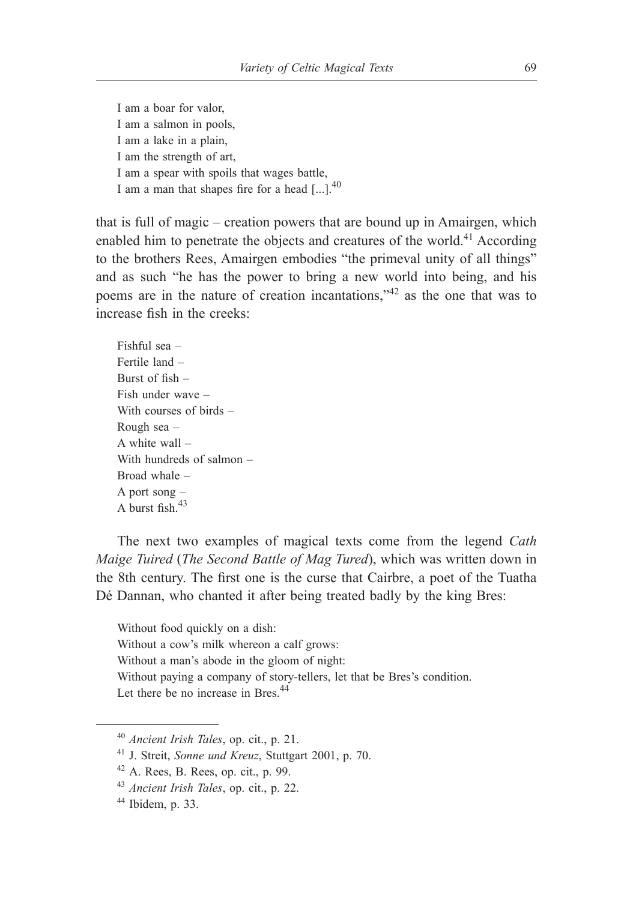I am a boar for valor, I am a salmon in pools, I am a lake in a plain, I am the strength of art, I am a spear with spoils that wages battle, I am a man that shapes fire for a head [...].<sup>40</sup>

that is full of magic – creation powers that are bound up in Amairgen, which enabled him to penetrate the objects and creatures of the world.41 According to the brothers Rees, Amairgen embodies "the primeval unity of all things" and as such "he has the power to bring a new world into being, and his poems are in the nature of creation incantations,"42 as the one that was to increase fish in the creeks:

Fishful sea – Fertile land – Burst of fish – Fish under wave – With courses of birds – Rough sea – A white wall – With hundreds of salmon – Broad whale – A port song – A burst fish  $43$ 

The next two examples of magical texts come from the legend *Cath Maige Tuired* (*The Second Battle of Mag Tured*), which was written down in the 8th century. The first one is the curse that Cairbre, a poet of the Tuatha Dé Dannan, who chanted it after being treated badly by the king Bres:

Without food quickly on a dish: Without a cow's milk whereon a calf grows: Without a man's abode in the gloom of night: Without paying a company of story-tellers, let that be Bres's condition. Let there be no increase in Bres.<sup>44</sup>

<sup>40</sup> *Ancient Irish Tales*, op. cit., p. 21.

<sup>41</sup> J. Streit, *Sonne und Kreuz*, Stuttgart 2001, p. 70.

 $42$  A. Rees, B. Rees, op. cit., p. 99.

<sup>43</sup> *Ancient Irish Tales*, op. cit., p. 22.

 $44$  Ibidem, p. 33.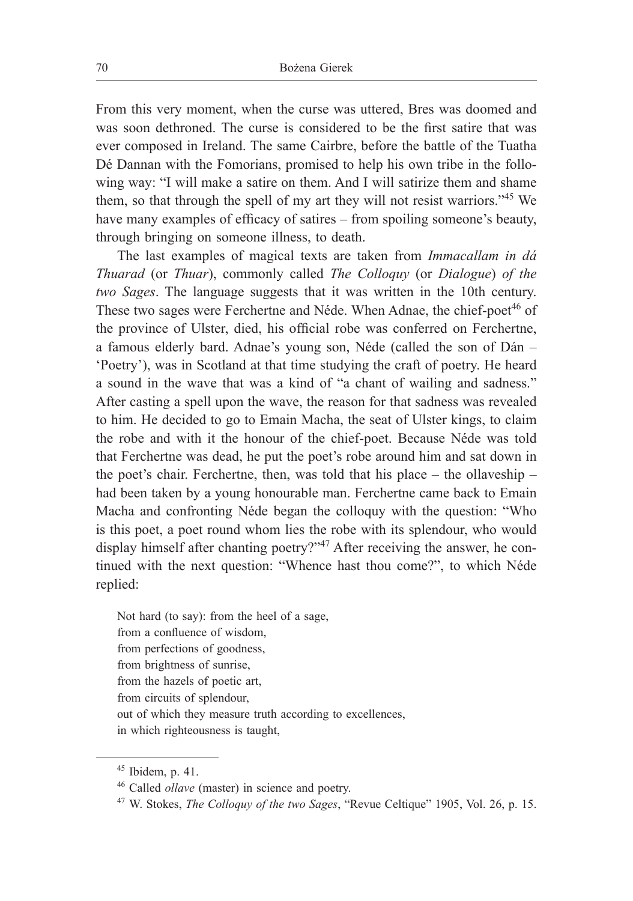From this very moment, when the curse was uttered, Bres was doomed and was soon dethroned. The curse is considered to be the first satire that was ever composed in Ireland. The same Cairbre, before the battle of the Tuatha Dé Dannan with the Fomorians, promised to help his own tribe in the following way: "I will make a satire on them. And I will satirize them and shame them, so that through the spell of my art they will not resist warriors."<sup>45</sup> We have many examples of efficacy of satires – from spoiling someone's beauty, through bringing on someone illness, to death.

The last examples of magical texts are taken from *Immacallam in dá Thuarad* (or *Thuar*), commonly called *The Colloquy* (or *Dialogue*) *of the two Sages*. The language suggests that it was written in the 10th century. These two sages were Ferchertne and Néde. When Adnae, the chief-poet<sup>46</sup> of the province of Ulster, died, his official robe was conferred on Ferchertne, a famous elderly bard. Adnae's young son, Néde (called the son of Dán – 'Poetry'), was in Scotland at that time studying the craft of poetry. He heard a sound in the wave that was a kind of "a chant of wailing and sadness." After casting a spell upon the wave, the reason for that sadness was revealed to him. He decided to go to Emain Macha, the seat of Ulster kings, to claim the robe and with it the honour of the chief-poet. Because Néde was told that Ferchertne was dead, he put the poet's robe around him and sat down in the poet's chair. Ferchertne, then, was told that his place  $-$  the ollaveship  $$ had been taken by a young honourable man. Ferchertne came back to Emain Macha and confronting Néde began the colloquy with the question: "Who is this poet, a poet round whom lies the robe with its splendour, who would display himself after chanting poetry?"<sup>47</sup> After receiving the answer, he continued with the next question: "Whence hast thou come?", to which Néde replied:

Not hard (to say): from the heel of a sage, from a confluence of wisdom, from perfections of goodness, from brightness of sunrise, from the hazels of poetic art, from circuits of splendour, out of which they measure truth according to excellences, in which righteousness is taught,

 $45$  Ibidem, p. 41.

<sup>46</sup> Called *ollave* (master) in science and poetry.

<sup>47</sup> W. Stokes, *The Colloquy of the two Sages*, "Revue Celtique" 1905, Vol. 26, p. 15.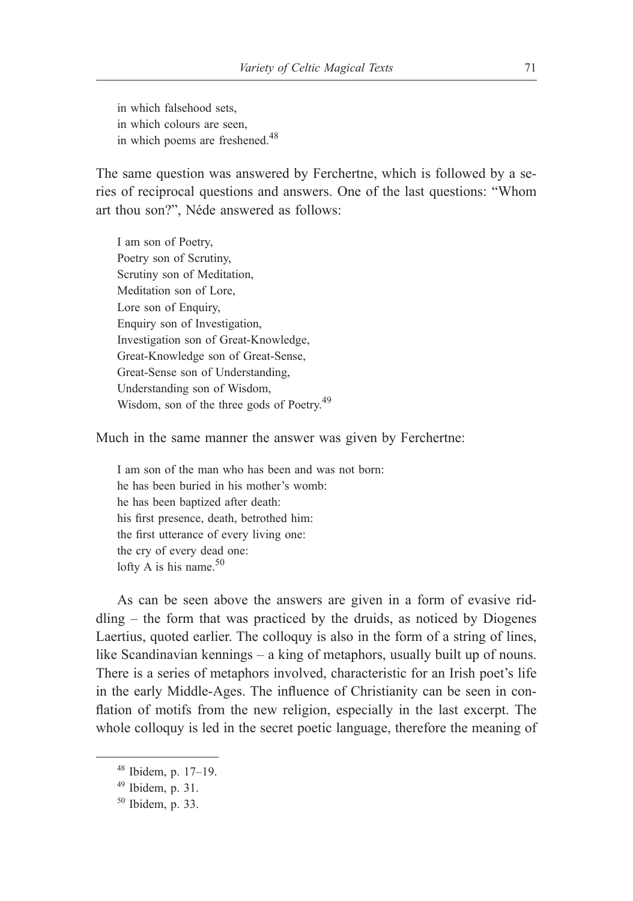in which falsehood sets, in which colours are seen, in which poems are freshened.<sup>48</sup>

The same question was answered by Ferchertne, which is followed by a series of reciprocal questions and answers. One of the last questions: "Whom art thou son?", Néde answered as follows:

I am son of Poetry, Poetry son of Scrutiny, Scrutiny son of Meditation, Meditation son of Lore, Lore son of Enquiry, Enquiry son of Investigation, Investigation son of Great-Knowledge, Great-Knowledge son of Great-Sense, Great-Sense son of Understanding, Understanding son of Wisdom, Wisdom, son of the three gods of Poetry.<sup>49</sup>

Much in the same manner the answer was given by Ferchertne:

I am son of the man who has been and was not born: he has been buried in his mother's womb: he has been baptized after death: his first presence, death, betrothed him: the first utterance of every living one: the cry of every dead one: lofty A is his name. $50$ 

As can be seen above the answers are given in a form of evasive riddling – the form that was practiced by the druids, as noticed by Diogenes Laertius, quoted earlier. The colloquy is also in the form of a string of lines, like Scandinavian kennings – a king of metaphors, usually built up of nouns. There is a series of metaphors involved, characteristic for an Irish poet's life in the early Middle-Ages. The influence of Christianity can be seen in conflation of motifs from the new religion, especially in the last excerpt. The whole colloquy is led in the secret poetic language, therefore the meaning of

 $48$  Ibidem, p. 17–19.

 $49$  Ibidem, p. 31.

<sup>50</sup> Ibidem, p. 33.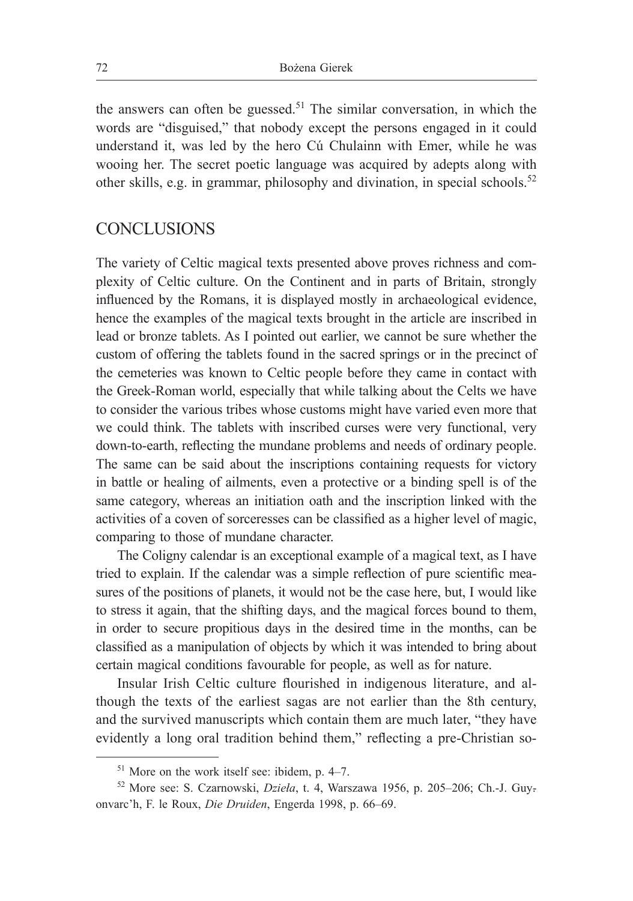the answers can often be guessed.<sup>51</sup> The similar conversation, in which the words are "disguised," that nobody except the persons engaged in it could understand it, was led by the hero Cú Chulainn with Emer, while he was wooing her. The secret poetic language was acquired by adepts along with other skills, e.g. in grammar, philosophy and divination, in special schools.<sup>52</sup>

#### **CONCLUSIONS**

The variety of Celtic magical texts presented above proves richness and complexity of Celtic culture. On the Continent and in parts of Britain, strongly influenced by the Romans, it is displayed mostly in archaeological evidence, hence the examples of the magical texts brought in the article are inscribed in lead or bronze tablets. As I pointed out earlier, we cannot be sure whether the custom of offering the tablets found in the sacred springs or in the precinct of the cemeteries was known to Celtic people before they came in contact with the Greek-Roman world, especially that while talking about the Celts we have to consider the various tribes whose customs might have varied even more that we could think. The tablets with inscribed curses were very functional, very down-to-earth, reflecting the mundane problems and needs of ordinary people. The same can be said about the inscriptions containing requests for victory in battle or healing of ailments, even a protective or a binding spell is of the same category, whereas an initiation oath and the inscription linked with the activities of a coven of sorceresses can be classified as a higher level of magic, comparing to those of mundane character.

The Coligny calendar is an exceptional example of a magical text, as I have tried to explain. If the calendar was a simple reflection of pure scientific measures of the positions of planets, it would not be the case here, but, I would like to stress it again, that the shifting days, and the magical forces bound to them, in order to secure propitious days in the desired time in the months, can be classified as a manipulation of objects by which it was intended to bring about certain magical conditions favourable for people, as well as for nature.

Insular Irish Celtic culture flourished in indigenous literature, and although the texts of the earliest sagas are not earlier than the 8th century, and the survived manuscripts which contain them are much later, "they have evidently a long oral tradition behind them," reflecting a pre-Christian so-

 $51$  More on the work itself see: ibidem, p. 4–7.

<sup>&</sup>lt;sup>52</sup> More see: S. Czarnowski, *Dzieła*, t. 4, Warszawa 1956, p. 205–206; Ch.-J. Guyonvarc'h, F. le Roux, *Die Druiden*, Engerda 1998, p. 66‒69.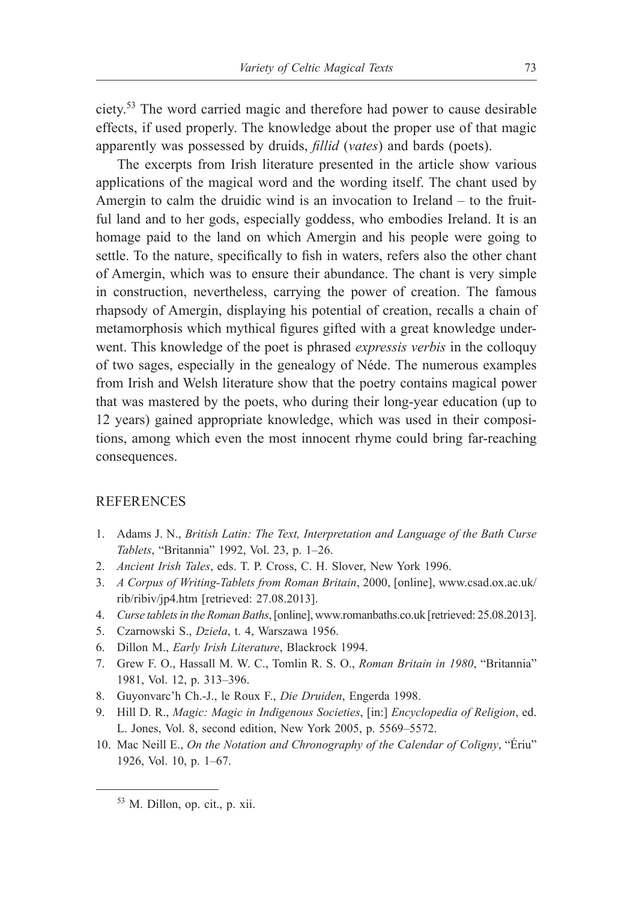ciety.53 The word carried magic and therefore had power to cause desirable effects, if used properly. The knowledge about the proper use of that magic apparently was possessed by druids, *fillid* (*vates*) and bards (poets).

The excerpts from Irish literature presented in the article show various applications of the magical word and the wording itself. The chant used by Amergin to calm the druidic wind is an invocation to Ireland – to the fruitful land and to her gods, especially goddess, who embodies Ireland. It is an homage paid to the land on which Amergin and his people were going to settle. To the nature, specifically to fish in waters, refers also the other chant of Amergin, which was to ensure their abundance. The chant is very simple in construction, nevertheless, carrying the power of creation. The famous rhapsody of Amergin, displaying his potential of creation, recalls a chain of metamorphosis which mythical figures gifted with a great knowledge underwent. This knowledge of the poet is phrased *expressis verbis* in the colloquy of two sages, especially in the genealogy of Néde. The numerous examples from Irish and Welsh literature show that the poetry contains magical power that was mastered by the poets, who during their long-year education (up to 12 years) gained appropriate knowledge, which was used in their compositions, among which even the most innocent rhyme could bring far-reaching consequences.

#### **REFERENCES**

- 1. Adams J. N., *British Latin: The Text, Interpretation and Language of the Bath Curse Tablets*, "Britannia" 1992, Vol. 23, p. 1‒26.
- 2. *Ancient Irish Tales*, eds. T. P. Cross, C. H. Slover, New York 1996.
- 3. *A Corpus of Writing-Tablets from Roman Britain*, 2000, [online], www.csad.ox.ac.uk/ rib/ribiv/jp4.htm [retrieved: 27.08.2013].
- 4. *Curse tablets in the Roman Baths*, [online], www.romanbaths.co.uk [retrieved: 25.08.2013].
- 5. Czarnowski S., *Dzieła*, t. 4, Warszawa 1956.
- 6. Dillon M., *Early Irish Literature*, Blackrock 1994.
- 7. Grew F. O., Hassall M. W. C., Tomlin R. S. O., *Roman Britain in 1980*, "Britannia" 1981, Vol. 12, p. 313‒396.
- 8. Guyonvarc'h Ch.-J., le Roux F., *Die Druiden*, Engerda 1998.
- 9. Hill D. R., *Magic: Magic in Indigenous Societies*, [in:] *Encyclopedia of Religion*, ed. L. Jones, Vol. 8, second edition, New York 2005, p. 5569–5572.
- 10. Mac Neill E., *On the Notation and Chronography of the Calendar of Coligny*, "Ériu" 1926, Vol. 10, p. 1–67.

<sup>53</sup> M. Dillon, op. cit., p. xii.